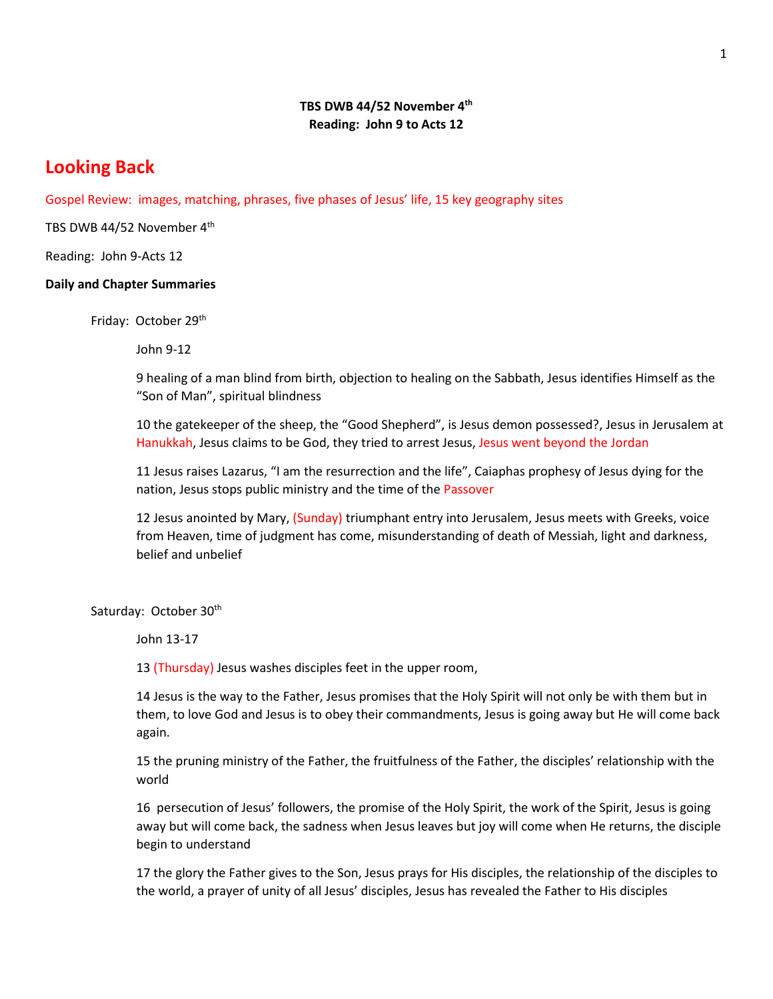### **TBS DWB 44/52 November 4th Reading: John 9 to Acts 12**

# **Looking Back**

Gospel Review: images, matching, phrases, five phases of Jesus' life, 15 key geography sites

TBS DWB 44/52 November 4<sup>th</sup>

Reading: John 9-Acts 12

#### **Daily and Chapter Summaries**

Friday: October 29th

John 9-12

9 healing of a man blind from birth, objection to healing on the Sabbath, Jesus identifies Himself as the "Son of Man", spiritual blindness

10 the gatekeeper of the sheep, the "Good Shepherd", is Jesus demon possessed?, Jesus in Jerusalem at Hanukkah, Jesus claims to be God, they tried to arrest Jesus, Jesus went beyond the Jordan

11 Jesus raises Lazarus, "I am the resurrection and the life", Caiaphas prophesy of Jesus dying for the nation, Jesus stops public ministry and the time of the Passover

12 Jesus anointed by Mary, (Sunday) triumphant entry into Jerusalem, Jesus meets with Greeks, voice from Heaven, time of judgment has come, misunderstanding of death of Messiah, light and darkness, belief and unbelief

Saturday: October 30<sup>th</sup>

John 13-17

13 (Thursday) Jesus washes disciples feet in the upper room,

14 Jesus is the way to the Father, Jesus promises that the Holy Spirit will not only be with them but in them, to love God and Jesus is to obey their commandments, Jesus is going away but He will come back again.

15 the pruning ministry of the Father, the fruitfulness of the Father, the disciples' relationship with the world

16 persecution of Jesus' followers, the promise of the Holy Spirit, the work of the Spirit, Jesus is going away but will come back, the sadness when Jesus leaves but joy will come when He returns, the disciple begin to understand

17 the glory the Father gives to the Son, Jesus prays for His disciples, the relationship of the disciples to the world, a prayer of unity of all Jesus' disciples, Jesus has revealed the Father to His disciples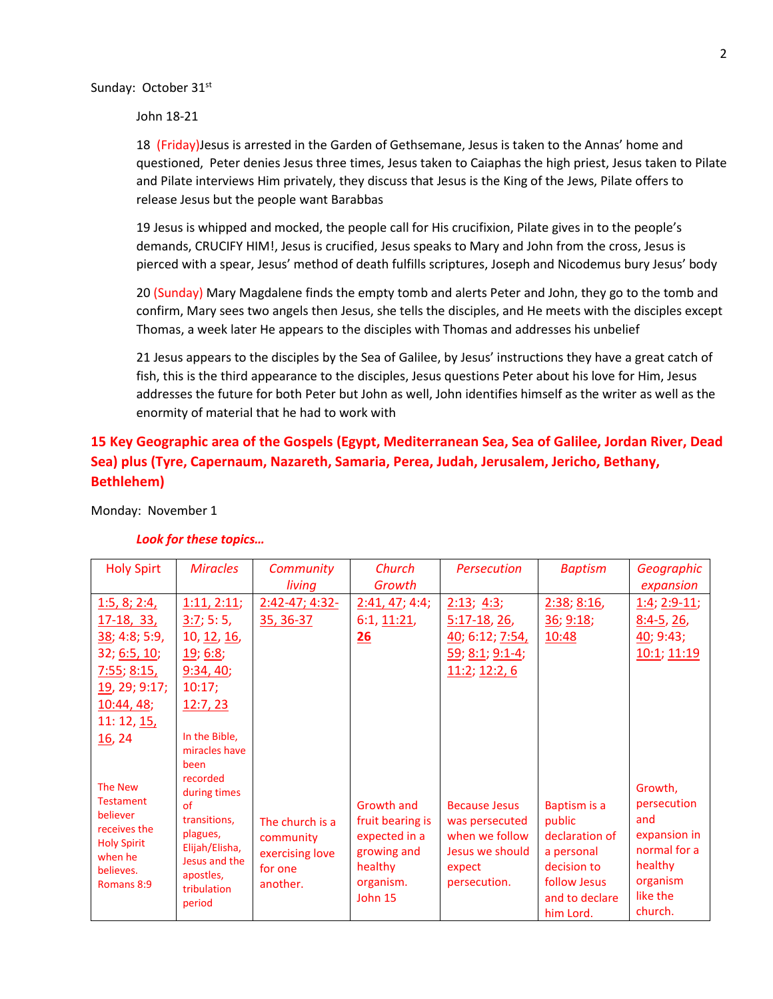Sunday: October 31st

John 18-21

18 (Friday)Jesus is arrested in the Garden of Gethsemane, Jesus is taken to the Annas' home and questioned, Peter denies Jesus three times, Jesus taken to Caiaphas the high priest, Jesus taken to Pilate and Pilate interviews Him privately, they discuss that Jesus is the King of the Jews, Pilate offers to release Jesus but the people want Barabbas

19 Jesus is whipped and mocked, the people call for His crucifixion, Pilate gives in to the people's demands, CRUCIFY HIM!, Jesus is crucified, Jesus speaks to Mary and John from the cross, Jesus is pierced with a spear, Jesus' method of death fulfills scriptures, Joseph and Nicodemus bury Jesus' body

20 (Sunday) Mary Magdalene finds the empty tomb and alerts Peter and John, they go to the tomb and confirm, Mary sees two angels then Jesus, she tells the disciples, and He meets with the disciples except Thomas, a week later He appears to the disciples with Thomas and addresses his unbelief

21 Jesus appears to the disciples by the Sea of Galilee, by Jesus' instructions they have a great catch of fish, this is the third appearance to the disciples, Jesus questions Peter about his love for Him, Jesus addresses the future for both Peter but John as well, John identifies himself as the writer as well as the enormity of material that he had to work with

## **15 Key Geographic area of the Gospels (Egypt, Mediterranean Sea, Sea of Galilee, Jordan River, Dead Sea) plus (Tyre, Capernaum, Nazareth, Samaria, Perea, Judah, Jerusalem, Jericho, Bethany, Bethlehem)**

Monday: November 1

| <b>Holy Spirt</b>  | <b>Miracles</b>    | Community           | Church<br>Growth  | <b>Persecution</b>     | <b>Baptism</b>            | Geographic     |
|--------------------|--------------------|---------------------|-------------------|------------------------|---------------------------|----------------|
|                    |                    | living              |                   |                        |                           | expansion      |
| 1:5, 8; 2:4,       | 1:11,2:11          | $2:42 - 47; 4:32 -$ | 2:41, 47; 4:4;    | 2:13; 4:3;             | 2:38; 8:16,               | $1:4; 2:9-11;$ |
| <u>17-18, 33, </u> | 3:7;5:5            | 35, 36-37           | 6:1, 11:21,       | $5:17-18$ , 26,        | 36; 9:18;                 | $8:4-5, 26$    |
| 38; 4:8; 5:9,      | 10, 12, 16,        |                     | 26                | 40; 6:12; 7:54,        | 10:48                     | 40; 9:43;      |
| 32; 6:5, 10;       | 19; 6:8;           |                     |                   | <u>59; 8:1; 9:1-4;</u> |                           | 10:1; 11:19    |
| 7:55; 8:15,        | 9:34,40;           |                     |                   | 11:2; 12:2, 6          |                           |                |
| 19, 29; 9:17;      | 10:17;             |                     |                   |                        |                           |                |
| 10:44, 48;         | 12:7, 23           |                     |                   |                        |                           |                |
| 11: 12, 15,        |                    |                     |                   |                        |                           |                |
| 16, 24             | In the Bible,      |                     |                   |                        |                           |                |
|                    | miracles have      |                     |                   |                        |                           |                |
|                    | been               |                     |                   |                        |                           |                |
| <b>The New</b>     | recorded           |                     |                   |                        |                           | Growth,        |
| <b>Testament</b>   | during times<br>of |                     | <b>Growth and</b> | <b>Because Jesus</b>   | Baptism is a              | persecution    |
| believer           | transitions,       | The church is a     | fruit bearing is  | was persecuted         | public                    | and            |
| receives the       | plagues,           |                     | expected in a     | when we follow         | declaration of            | expansion in   |
| <b>Holy Spirit</b> | Elijah/Elisha,     | community           |                   | Jesus we should        |                           | normal for a   |
| when he            | Jesus and the      | exercising love     | growing and       |                        | a personal<br>decision to | healthy        |
| believes.          | apostles,          | for one             | healthy           | expect                 |                           | organism       |
| Romans 8:9         | tribulation        | another.            | organism.         | persecution.           | follow Jesus              | like the       |
|                    | period             |                     | John 15           |                        | and to declare            | church.        |
|                    |                    |                     |                   |                        | him Lord.                 |                |

#### *Look for these topics…*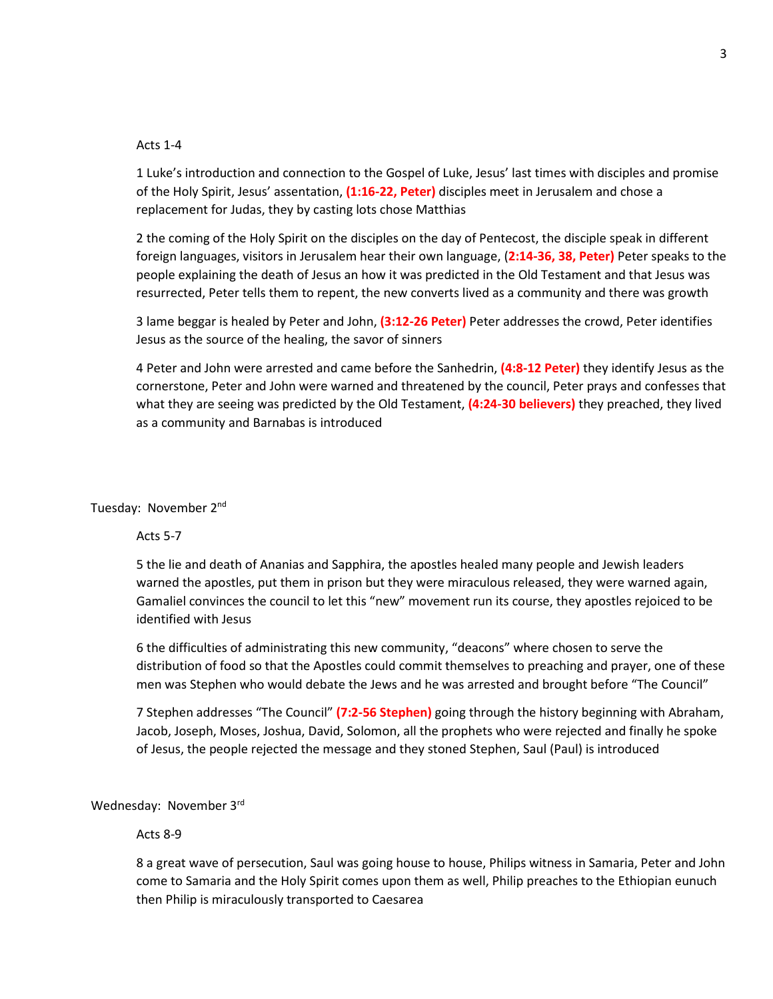#### Acts 1-4

1 Luke's introduction and connection to the Gospel of Luke, Jesus' last times with disciples and promise of the Holy Spirit, Jesus' assentation, **(1:16-22, Peter)** disciples meet in Jerusalem and chose a replacement for Judas, they by casting lots chose Matthias

2 the coming of the Holy Spirit on the disciples on the day of Pentecost, the disciple speak in different foreign languages, visitors in Jerusalem hear their own language, (**2:14-36, 38, Peter)** Peter speaks to the people explaining the death of Jesus an how it was predicted in the Old Testament and that Jesus was resurrected, Peter tells them to repent, the new converts lived as a community and there was growth

3 lame beggar is healed by Peter and John, **(3:12-26 Peter)** Peter addresses the crowd, Peter identifies Jesus as the source of the healing, the savor of sinners

4 Peter and John were arrested and came before the Sanhedrin, **(4:8-12 Peter)** they identify Jesus as the cornerstone, Peter and John were warned and threatened by the council, Peter prays and confesses that what they are seeing was predicted by the Old Testament, **(4:24-30 believers)** they preached, they lived as a community and Barnabas is introduced

#### Tuesday: November 2nd

#### Acts 5-7

5 the lie and death of Ananias and Sapphira, the apostles healed many people and Jewish leaders warned the apostles, put them in prison but they were miraculous released, they were warned again, Gamaliel convinces the council to let this "new" movement run its course, they apostles rejoiced to be identified with Jesus

6 the difficulties of administrating this new community, "deacons" where chosen to serve the distribution of food so that the Apostles could commit themselves to preaching and prayer, one of these men was Stephen who would debate the Jews and he was arrested and brought before "The Council"

7 Stephen addresses "The Council" **(7:2-56 Stephen)** going through the history beginning with Abraham, Jacob, Joseph, Moses, Joshua, David, Solomon, all the prophets who were rejected and finally he spoke of Jesus, the people rejected the message and they stoned Stephen, Saul (Paul) is introduced

Wednesday: November 3rd

#### Acts 8-9

8 a great wave of persecution, Saul was going house to house, Philips witness in Samaria, Peter and John come to Samaria and the Holy Spirit comes upon them as well, Philip preaches to the Ethiopian eunuch then Philip is miraculously transported to Caesarea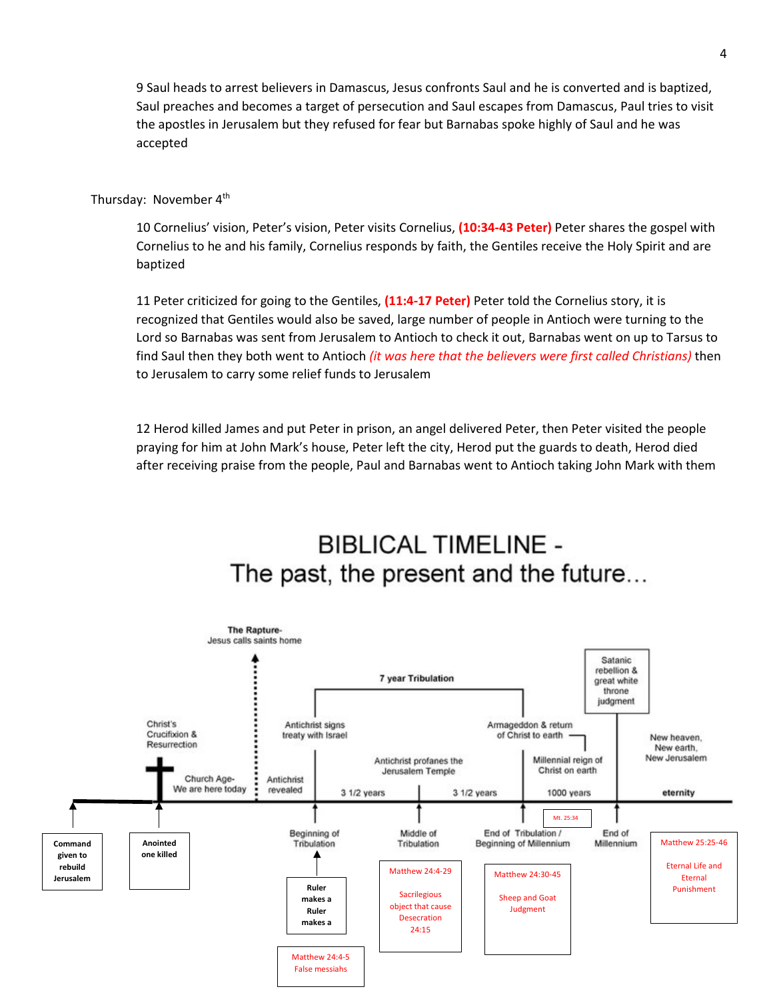9 Saul heads to arrest believers in Damascus, Jesus confronts Saul and he is converted and is baptized, Saul preaches and becomes a target of persecution and Saul escapes from Damascus, Paul tries to visit the apostles in Jerusalem but they refused for fear but Barnabas spoke highly of Saul and he was accepted

#### Thursday: November 4<sup>th</sup>

10 Cornelius' vision, Peter's vision, Peter visits Cornelius, **(10:34-43 Peter)** Peter shares the gospel with Cornelius to he and his family, Cornelius responds by faith, the Gentiles receive the Holy Spirit and are baptized

11 Peter criticized for going to the Gentiles, **(11:4-17 Peter)** Peter told the Cornelius story, it is recognized that Gentiles would also be saved, large number of people in Antioch were turning to the Lord so Barnabas was sent from Jerusalem to Antioch to check it out, Barnabas went on up to Tarsus to find Saul then they both went to Antioch *(it was here that the believers were first called Christians)* then to Jerusalem to carry some relief funds to Jerusalem

12 Herod killed James and put Peter in prison, an angel delivered Peter, then Peter visited the people praying for him at John Mark's house, Peter left the city, Herod put the guards to death, Herod died after receiving praise from the people, Paul and Barnabas went to Antioch taking John Mark with them

# **BIBLICAL TIMELINE -**The past, the present and the future...

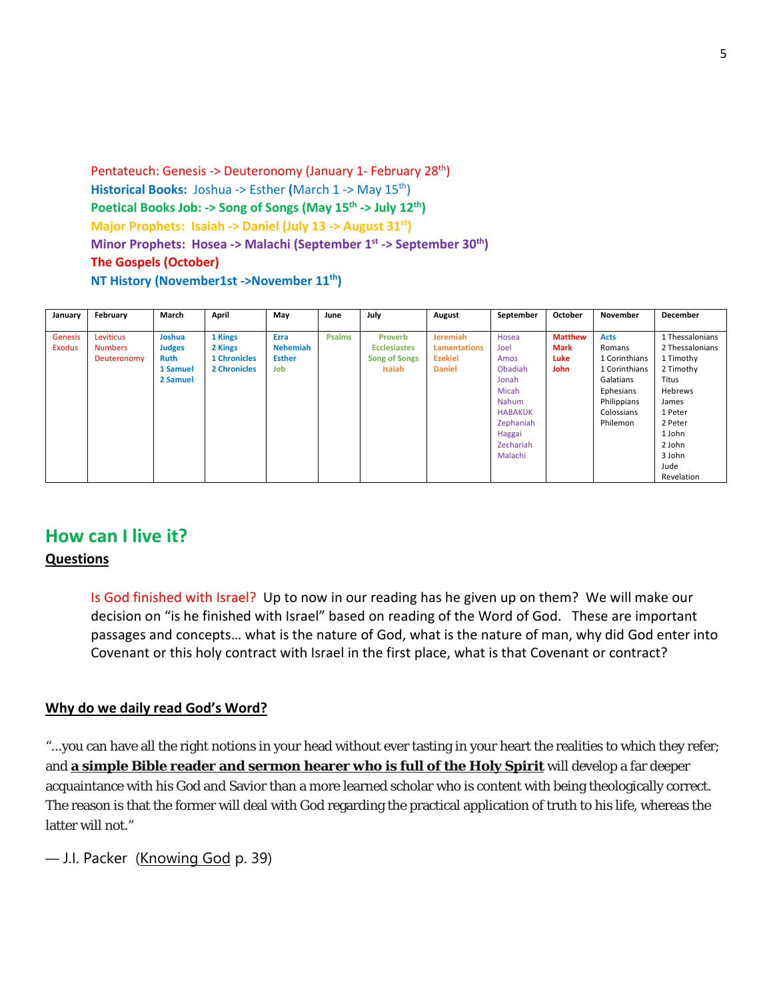Pentateuch: Genesis -> Deuteronomy (January 1- February 28th) **Historical Books:** Joshua -> Esther **(**March 1 -> May 15th) Poetical Books Job: -> Song of Songs (May 15<sup>th</sup> -> July 12<sup>th</sup>) **Major Prophets: Isaiah -> Daniel (July 13 -> August 31st)**  Minor Prophets: Hosea -> Malachi (September 1<sup>st</sup> -> September 30<sup>th</sup>) **The Gospels (October) NT History (November1st ->November 11th)** 

| January | February       | March         | April               | May             | June          | July                 | August              | September      | October        | November      | <b>December</b> |
|---------|----------------|---------------|---------------------|-----------------|---------------|----------------------|---------------------|----------------|----------------|---------------|-----------------|
|         |                |               |                     |                 |               |                      |                     |                |                |               |                 |
| Genesis | Leviticus      | Joshua        | 1 Kings             | Ezra            | <b>Psalms</b> | Proverb              | <b>Jeremiah</b>     | Hosea          | <b>Matthew</b> | <b>Acts</b>   | 1 Thessalonians |
| Exodus  | <b>Numbers</b> | <b>Judges</b> | 2 Kings             | <b>Nehemiah</b> |               | <b>Ecclesiastes</b>  | <b>Lamentations</b> | Joel           | <b>Mark</b>    | Romans        | 2 Thessalonians |
|         | Deuteronomy    | <b>Ruth</b>   | <b>1 Chronicles</b> | <b>Esther</b>   |               | <b>Song of Songs</b> | <b>Ezekiel</b>      | Amos           | <b>Luke</b>    | 1 Corinthians | 1 Timothy       |
|         |                | 1 Samuel      | <b>2 Chronicles</b> | Job             |               | <b>Isaiah</b>        | <b>Daniel</b>       | Obadiah        | <b>John</b>    | 1 Corinthians | 2 Timothy       |
|         |                | 2 Samuel      |                     |                 |               |                      |                     | Jonah          |                | Galatians     | Titus           |
|         |                |               |                     |                 |               |                      |                     | Micah          |                | Ephesians     | Hebrews         |
|         |                |               |                     |                 |               |                      |                     | Nahum          |                | Philippians   | James           |
|         |                |               |                     |                 |               |                      |                     | <b>HABAKUK</b> |                | Colossians    | 1 Peter         |
|         |                |               |                     |                 |               |                      |                     | Zephaniah      |                | Philemon      | 2 Peter         |
|         |                |               |                     |                 |               |                      |                     | Haggai         |                |               | 1 John          |
|         |                |               |                     |                 |               |                      |                     | Zechariah      |                |               | 2 John          |
|         |                |               |                     |                 |               |                      |                     | Malachi        |                |               | 3 John          |
|         |                |               |                     |                 |               |                      |                     |                |                |               | Jude            |
|         |                |               |                     |                 |               |                      |                     |                |                |               | Revelation      |

## **How can I live it?**

## **Questions**

Is God finished with Israel? Up to now in our reading has he given up on them? We will make our decision on "is he finished with Israel" based on reading of the Word of God. These are important passages and concepts… what is the nature of God, what is the nature of man, why did God enter into Covenant or this holy contract with Israel in the first place, what is that Covenant or contract?

### **Why do we daily read God's Word?**

"...you can have all the right notions in your head without ever tasting in your heart the realities to which they refer; and **a simple Bible reader and sermon hearer who is full of the Holy Spirit** will develop a far deeper acquaintance with his God and Savior than a more learned scholar who is content with being theologically correct. The reason is that the former will deal with God regarding the practical application of truth to his life, whereas the latter will not."

— [J.I. Packer](https://quotefancy.com/j-i-packer-quotes) (Knowing God p. 39)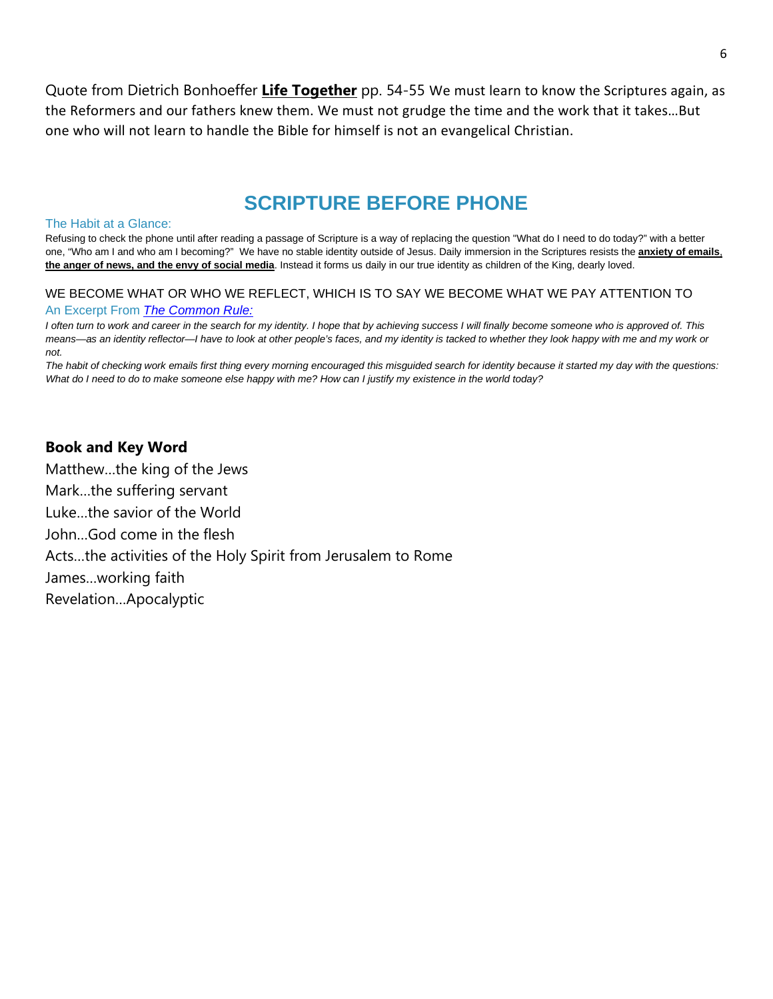Quote from Dietrich Bonhoeffer **Life Together** pp. 54-55 We must learn to know the Scriptures again, as the Reformers and our fathers knew them. We must not grudge the time and the work that it takes…But one who will not learn to handle the Bible for himself is not an evangelical Christian.

# **SCRIPTURE BEFORE PHONE**

#### The Habit at a Glance:

Refusing to check the phone until after reading a passage of Scripture is a way of replacing the question "What do I need to do today?" with a better one, "Who am I and who am I becoming?" We have no stable identity outside of Jesus. Daily immersion in the Scriptures resists the **anxiety of emails**, **the anger of news, and the envy of social media**. Instead it forms us daily in our true identity as children of the King, dearly loved.

#### WE BECOME WHAT OR WHO WE REFLECT, WHICH IS TO SAY WE BECOME WHAT WE PAY ATTENTION TO

#### An Excerpt From *The [Common](https://www.amazon.com/Common-Rule-Habits-Purpose-Distraction/dp/0830845607/ref=sr_1_1?keywords=the+common+rule&qid=1550272781&s=gateway&sr=8-1) Rule:*

I often turn to work and career in the search for my identity. I hope that by achieving success I will finally become someone who is approved of. This means-as an identity reflector-I have to look at other people's faces, and my identity is tacked to whether they look happy with me and my work or *not.*

The habit of checking work emails first thing every morning encouraged this misguided search for identity because it started my day with the questions: What do I need to do to make someone else happy with me? How can I justify my existence in the world today?

### **Book and Key Word**

Matthew…the king of the Jews Mark…the suffering servant Luke…the savior of the World John…God come in the flesh Acts…the activities of the Holy Spirit from Jerusalem to Rome James…working faith Revelation…Apocalyptic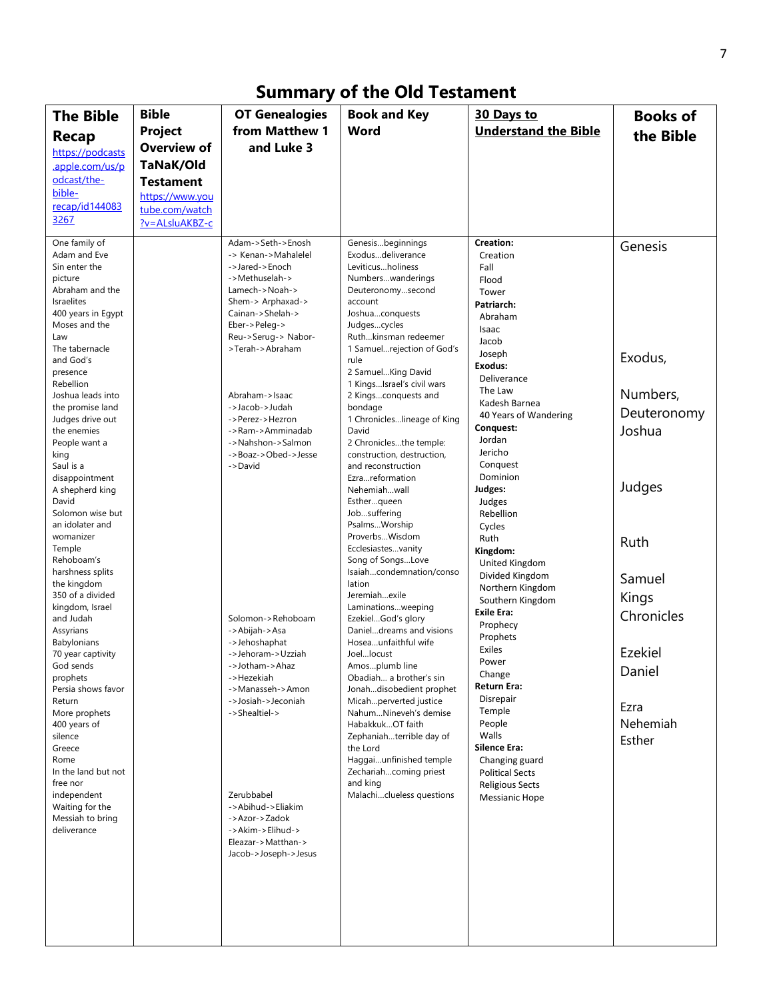# **Summary of the Old Testament**

| <b>The Bible</b>                    | <b>Bible</b>       | <b>OT Genealogies</b>                  | <b>Book and Key</b>                                 | 30 Days to                               | <b>Books of</b> |
|-------------------------------------|--------------------|----------------------------------------|-----------------------------------------------------|------------------------------------------|-----------------|
| <b>Recap</b>                        | Project            | from Matthew 1                         | Word                                                | <b>Understand the Bible</b>              | the Bible       |
| https://podcasts                    | <b>Overview of</b> | and Luke 3                             |                                                     |                                          |                 |
| .apple.com/us/p                     | TaNaK/Old          |                                        |                                                     |                                          |                 |
| odcast/the-                         | <b>Testament</b>   |                                        |                                                     |                                          |                 |
| bible-                              | https://www.you    |                                        |                                                     |                                          |                 |
| recap/id144083                      | tube.com/watch     |                                        |                                                     |                                          |                 |
| 3267                                | ?v=ALsluAKBZ-c     |                                        |                                                     |                                          |                 |
| One family of                       |                    | Adam->Seth->Enosh                      | Genesisbeginnings                                   | Creation:                                | Genesis         |
| Adam and Eve<br>Sin enter the       |                    | -> Kenan->Mahalelel<br>->Jared->Enoch  | Exodusdeliverance<br>Leviticusholiness              | Creation                                 |                 |
| picture                             |                    | ->Methuselah->                         | Numberswanderings                                   | Fall<br>Flood                            |                 |
| Abraham and the                     |                    | Lamech->Noah->                         | Deuteronomysecond                                   | Tower                                    |                 |
| Israelites                          |                    | Shem-> Arphaxad->                      | account                                             | Patriarch:                               |                 |
| 400 years in Egypt<br>Moses and the |                    | Cainan->Shelah-><br>Eber->Peleg->      | Joshuaconquests<br>Judgescycles                     | Abraham                                  |                 |
| Law                                 |                    | Reu->Serug-> Nabor-                    | Ruthkinsman redeemer                                | Isaac<br>Jacob                           |                 |
| The tabernacle                      |                    | >Terah->Abraham                        | 1 Samuelrejection of God's                          | Joseph                                   | Exodus,         |
| and God's                           |                    |                                        | rule<br>2 SamuelKing David                          | Exodus:                                  |                 |
| presence<br>Rebellion               |                    |                                        | 1 KingsIsrael's civil wars                          | Deliverance                              |                 |
| Joshua leads into                   |                    | Abraham->Isaac                         | 2 Kingsconquests and                                | The Law                                  | Numbers,        |
| the promise land                    |                    | ->Jacob->Judah                         | bondage                                             | Kadesh Barnea<br>40 Years of Wandering   | Deuteronomy     |
| Judges drive out<br>the enemies     |                    | ->Perez->Hezron<br>->Ram->Amminadab    | 1 Chronicleslineage of King<br>David                | Conquest:                                | Joshua          |
| People want a                       |                    | ->Nahshon->Salmon                      | 2 Chroniclesthe temple:                             | Jordan                                   |                 |
| king                                |                    | ->Boaz->Obed->Jesse                    | construction, destruction,                          | Jericho                                  |                 |
| Saul is a                           |                    | ->David                                | and reconstruction<br>Ezrareformation               | Conquest<br>Dominion                     |                 |
| disappointment<br>A shepherd king   |                    |                                        | Nehemiahwall                                        | Judges:                                  | Judges          |
| David                               |                    |                                        | Estherqueen                                         | Judges                                   |                 |
| Solomon wise but                    |                    |                                        | Jobsuffering                                        | Rebellion                                |                 |
| an idolater and<br>womanizer        |                    |                                        | PsalmsWorship<br>ProverbsWisdom                     | Cycles                                   |                 |
| Temple                              |                    |                                        | Ecclesiastesvanity                                  | Ruth<br>Kingdom:                         | Ruth            |
| Rehoboam's                          |                    |                                        | Song of SongsLove                                   | United Kingdom                           |                 |
| harshness splits<br>the kingdom     |                    |                                        | Isaiahcondemnation/conso<br>lation                  | Divided Kingdom                          | Samuel          |
| 350 of a divided                    |                    |                                        | Jeremiahexile                                       | Northern Kingdom                         | Kings           |
| kingdom, Israel                     |                    |                                        | Laminationsweeping                                  | Southern Kingdom<br><b>Exile Era:</b>    | Chronicles      |
| and Judah                           |                    | Solomon->Rehoboam                      | EzekielGod's glory                                  | Prophecy                                 |                 |
| Assyrians<br>Babylonians            |                    | ->Abijah->Asa<br>->Jehoshaphat         | Danieldreams and visions<br>Hoseaunfaithful wife    | Prophets                                 |                 |
| 70 year captivity                   |                    | ->Jehoram->Uzziah                      | Joellocust                                          | Exiles                                   | Ezekiel         |
| God sends                           |                    | ->Jotham->Ahaz                         | Amosplumb line                                      | Power<br>Change                          | Daniel          |
| prophets<br>Persia shows favor      |                    | ->Hezekiah<br>->Manasseh->Amon         | Obadiah a brother's sin<br>Jonahdisobedient prophet | Return Era:                              |                 |
| Return                              |                    | ->Josiah->Jeconiah                     | Micahperverted justice                              | Disrepair                                |                 |
| More prophets                       |                    | ->Shealtiel->                          | NahumNineveh's demise                               | Temple                                   | Ezra            |
| 400 years of<br>silence             |                    |                                        | HabakkukOT faith<br>Zephaniahterrible day of        | People<br>Walls                          | Nehemiah        |
| Greece                              |                    |                                        | the Lord                                            | <b>Silence Era:</b>                      | Esther          |
| Rome                                |                    |                                        | Haggaiunfinished temple                             | Changing guard                           |                 |
| In the land but not                 |                    |                                        | Zechariahcoming priest                              | <b>Political Sects</b>                   |                 |
| free nor<br>independent             |                    | Zerubbabel                             | and king<br>Malachiclueless questions               | <b>Religious Sects</b><br>Messianic Hope |                 |
| Waiting for the                     |                    | ->Abihud->Eliakim                      |                                                     |                                          |                 |
| Messiah to bring                    |                    | ->Azor->Zadok                          |                                                     |                                          |                 |
| deliverance                         |                    | ->Akim->Elihud-><br>Eleazar->Matthan-> |                                                     |                                          |                 |
|                                     |                    | Jacob->Joseph->Jesus                   |                                                     |                                          |                 |
|                                     |                    |                                        |                                                     |                                          |                 |
|                                     |                    |                                        |                                                     |                                          |                 |
|                                     |                    |                                        |                                                     |                                          |                 |
|                                     |                    |                                        |                                                     |                                          |                 |
|                                     |                    |                                        |                                                     |                                          |                 |
|                                     |                    |                                        |                                                     |                                          |                 |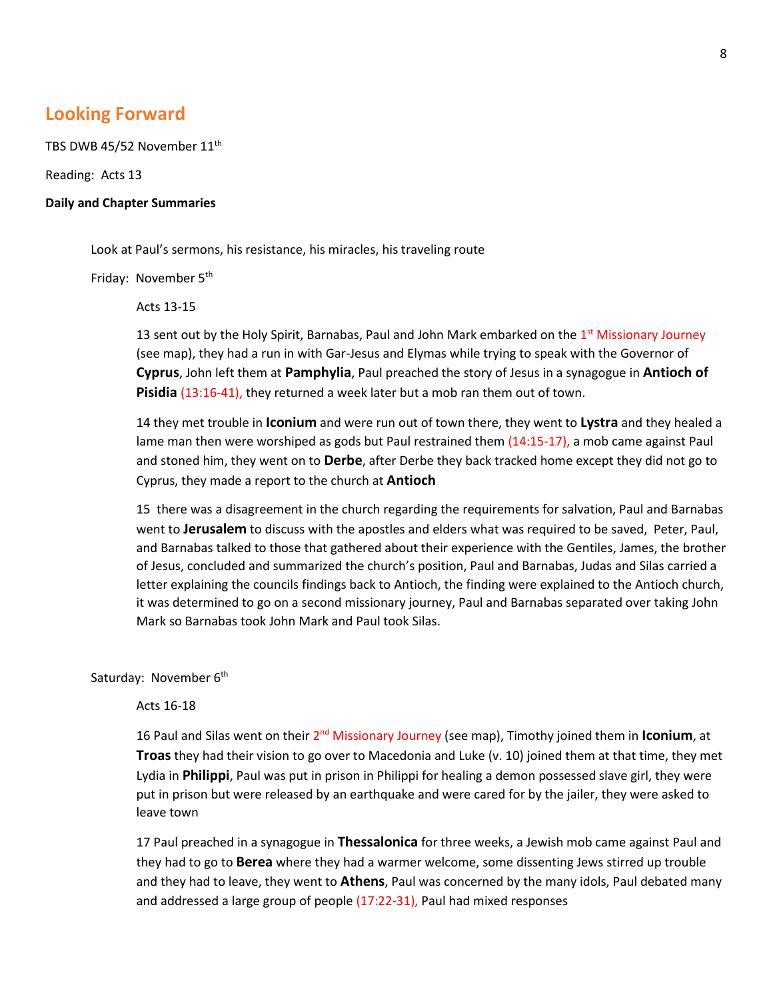## **Looking Forward**

TBS DWB 45/52 November 11<sup>th</sup>

Reading: Acts 13

#### **Daily and Chapter Summaries**

Look at Paul's sermons, his resistance, his miracles, his traveling route

Friday: November 5<sup>th</sup>

Acts 13-15

13 sent out by the Holy Spirit, Barnabas, Paul and John Mark embarked on the  $1<sup>st</sup>$  Missionary Journey (see map), they had a run in with Gar-Jesus and Elymas while trying to speak with the Governor of **Cyprus**, John left them at **Pamphylia**, Paul preached the story of Jesus in a synagogue in **Antioch of Pisidia** (13:16-41), they returned a week later but a mob ran them out of town.

14 they met trouble in **Iconium** and were run out of town there, they went to **Lystra** and they healed a lame man then were worshiped as gods but Paul restrained them (14:15-17), a mob came against Paul and stoned him, they went on to **Derbe**, after Derbe they back tracked home except they did not go to Cyprus, they made a report to the church at **Antioch**

15 there was a disagreement in the church regarding the requirements for salvation, Paul and Barnabas went to **Jerusalem** to discuss with the apostles and elders what was required to be saved, Peter, Paul, and Barnabas talked to those that gathered about their experience with the Gentiles, James, the brother of Jesus, concluded and summarized the church's position, Paul and Barnabas, Judas and Silas carried a letter explaining the councils findings back to Antioch, the finding were explained to the Antioch church, it was determined to go on a second missionary journey, Paul and Barnabas separated over taking John Mark so Barnabas took John Mark and Paul took Silas.

Saturday: November 6<sup>th</sup>

#### Acts 16-18

16 Paul and Silas went on their 2nd Missionary Journey (see map), Timothy joined them in **Iconium**, at **Troas** they had their vision to go over to Macedonia and Luke (v. 10) joined them at that time, they met Lydia in **Philippi**, Paul was put in prison in Philippi for healing a demon possessed slave girl, they were put in prison but were released by an earthquake and were cared for by the jailer, they were asked to leave town

17 Paul preached in a synagogue in **Thessalonica** for three weeks, a Jewish mob came against Paul and they had to go to **Berea** where they had a warmer welcome, some dissenting Jews stirred up trouble and they had to leave, they went to **Athens**, Paul was concerned by the many idols, Paul debated many and addressed a large group of people (17:22-31), Paul had mixed responses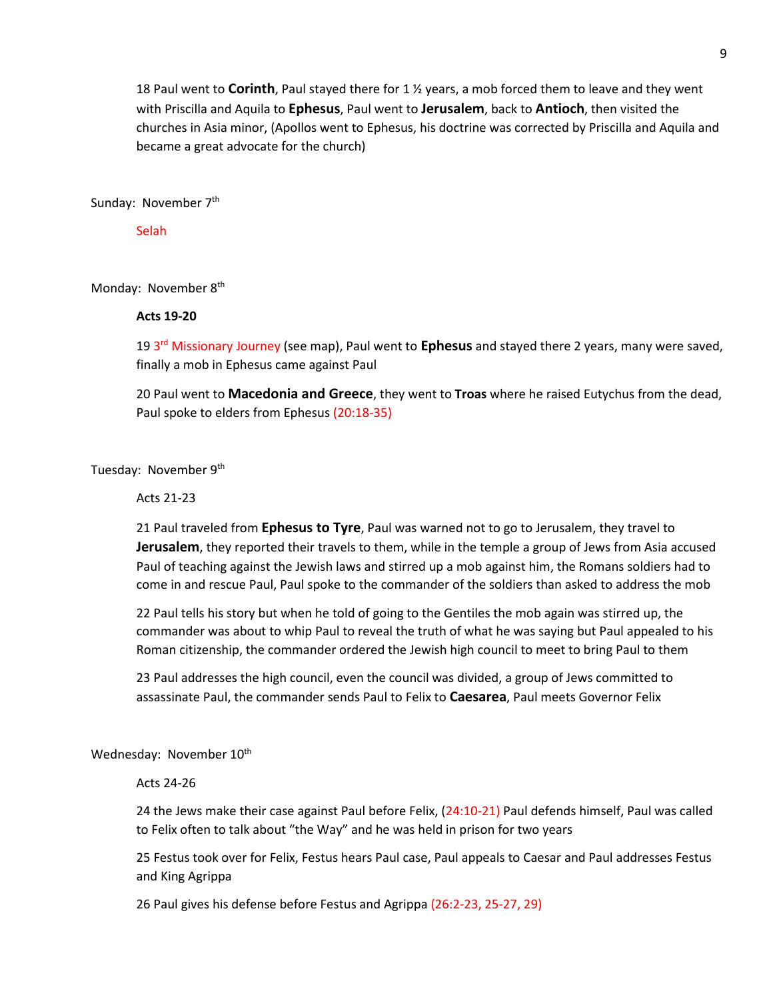18 Paul went to **Corinth**, Paul stayed there for 1 ½ years, a mob forced them to leave and they went with Priscilla and Aquila to **Ephesus**, Paul went to **Jerusalem**, back to **Antioch**, then visited the churches in Asia minor, (Apollos went to Ephesus, his doctrine was corrected by Priscilla and Aquila and became a great advocate for the church)

Sunday: November 7<sup>th</sup>

**Selah** 

Monday: November 8<sup>th</sup>

#### **Acts 19-20**

19 3rd Missionary Journey (see map), Paul went to **Ephesus** and stayed there 2 years, many were saved, finally a mob in Ephesus came against Paul

20 Paul went to **Macedonia and Greece**, they went to **Troas** where he raised Eutychus from the dead, Paul spoke to elders from Ephesus (20:18-35)

Tuesday: November 9<sup>th</sup>

Acts 21-23

21 Paul traveled from **Ephesus to Tyre**, Paul was warned not to go to Jerusalem, they travel to **Jerusalem**, they reported their travels to them, while in the temple a group of Jews from Asia accused Paul of teaching against the Jewish laws and stirred up a mob against him, the Romans soldiers had to come in and rescue Paul, Paul spoke to the commander of the soldiers than asked to address the mob

22 Paul tells his story but when he told of going to the Gentiles the mob again was stirred up, the commander was about to whip Paul to reveal the truth of what he was saying but Paul appealed to his Roman citizenship, the commander ordered the Jewish high council to meet to bring Paul to them

23 Paul addresses the high council, even the council was divided, a group of Jews committed to assassinate Paul, the commander sends Paul to Felix to **Caesarea**, Paul meets Governor Felix

Wednesday: November 10<sup>th</sup>

Acts 24-26

24 the Jews make their case against Paul before Felix, (24:10-21) Paul defends himself, Paul was called to Felix often to talk about "the Way" and he was held in prison for two years

25 Festus took over for Felix, Festus hears Paul case, Paul appeals to Caesar and Paul addresses Festus and King Agrippa

26 Paul gives his defense before Festus and Agrippa (26:2-23, 25-27, 29)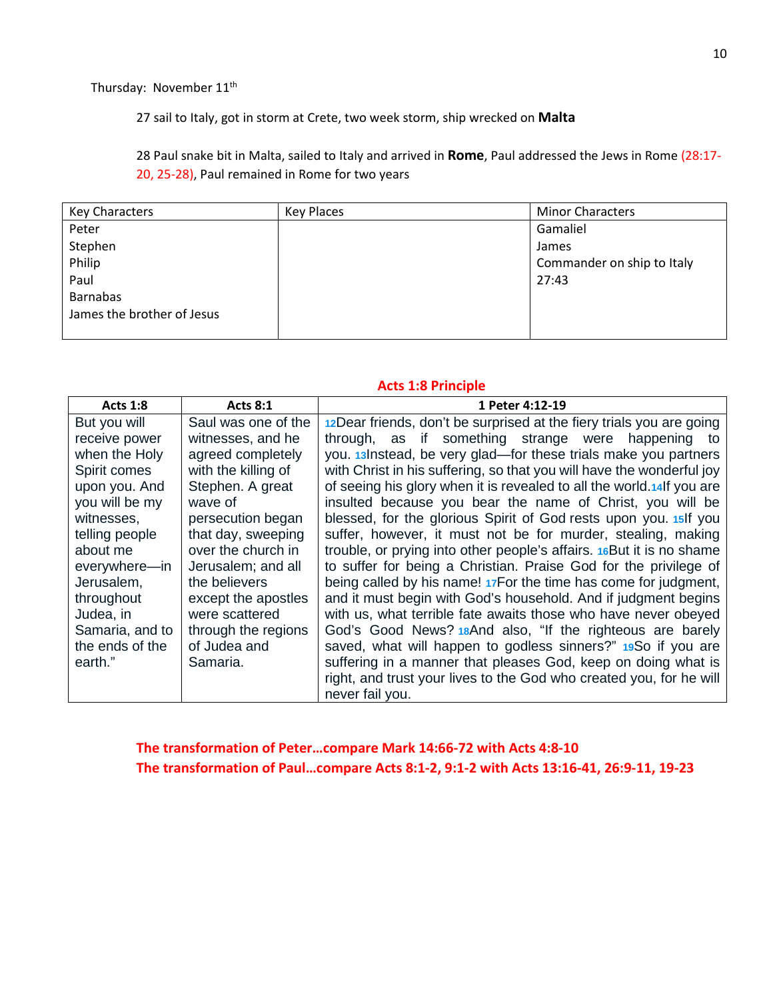Thursday: November 11<sup>th</sup>

27 sail to Italy, got in storm at Crete, two week storm, ship wrecked on **Malta**

28 Paul snake bit in Malta, sailed to Italy and arrived in **Rome**, Paul addressed the Jews in Rome (28:17- 20, 25-28), Paul remained in Rome for two years

| <b>Key Characters</b>      | Key Places | <b>Minor Characters</b>    |
|----------------------------|------------|----------------------------|
| Peter                      |            | Gamaliel                   |
| Stephen                    |            | James                      |
| Philip                     |            | Commander on ship to Italy |
| Paul                       |            | 27:43                      |
| <b>Barnabas</b>            |            |                            |
| James the brother of Jesus |            |                            |
|                            |            |                            |

#### **Acts 1:8 Principle**

| <b>Acts 1:8</b> | <b>Acts 8:1</b>     | 1 Peter 4:12-19                                                        |
|-----------------|---------------------|------------------------------------------------------------------------|
| But you will    | Saul was one of the | 12 Dear friends, don't be surprised at the fiery trials you are going  |
| receive power   | witnesses, and he   | through, as if something strange were happening<br>to                  |
| when the Holy   | agreed completely   | you. 13 Instead, be very glad—for these trials make you partners       |
| Spirit comes    | with the killing of | with Christ in his suffering, so that you will have the wonderful joy  |
| upon you. And   | Stephen. A great    | of seeing his glory when it is revealed to all the world.14 If you are |
| you will be my  | wave of             | insulted because you bear the name of Christ, you will be              |
| witnesses,      | persecution began   | blessed, for the glorious Spirit of God rests upon you. 15 If you      |
| telling people  | that day, sweeping  | suffer, however, it must not be for murder, stealing, making           |
| about me        | over the church in  | trouble, or prying into other people's affairs. 16 But it is no shame  |
| everywhere-in   | Jerusalem; and all  | to suffer for being a Christian. Praise God for the privilege of       |
| Jerusalem,      | the believers       | being called by his name! 17For the time has come for judgment,        |
| throughout      | except the apostles | and it must begin with God's household. And if judgment begins         |
| Judea, in       | were scattered      | with us, what terrible fate awaits those who have never obeyed         |
| Samaria, and to | through the regions | God's Good News? 18And also, "If the righteous are barely              |
| the ends of the | of Judea and        | saved, what will happen to godless sinners?" 19So if you are           |
| earth."         | Samaria.            | suffering in a manner that pleases God, keep on doing what is          |
|                 |                     | right, and trust your lives to the God who created you, for he will    |
|                 |                     | never fail you.                                                        |

**The transformation of Peter…compare Mark 14:66-72 with Acts 4:8-10 The transformation of Paul…compare Acts 8:1-2, 9:1-2 with Acts 13:16-41, 26:9-11, 19-23**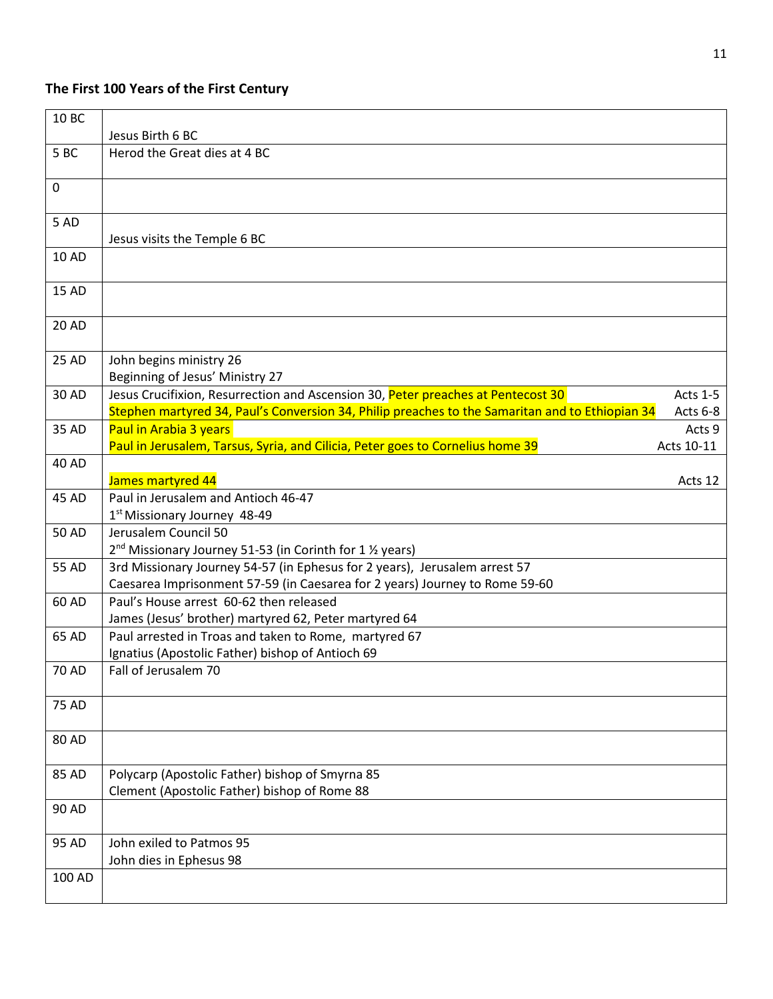## **The First 100 Years of the First Century**

| 10 BC        |                                                                                                                                                                                                             |
|--------------|-------------------------------------------------------------------------------------------------------------------------------------------------------------------------------------------------------------|
|              | Jesus Birth 6 BC                                                                                                                                                                                            |
| 5BC          | Herod the Great dies at 4 BC                                                                                                                                                                                |
| $\mathbf 0$  |                                                                                                                                                                                                             |
| 5 AD         | Jesus visits the Temple 6 BC                                                                                                                                                                                |
| 10 AD        |                                                                                                                                                                                                             |
| <b>15 AD</b> |                                                                                                                                                                                                             |
| 20 AD        |                                                                                                                                                                                                             |
| 25 AD        | John begins ministry 26<br>Beginning of Jesus' Ministry 27                                                                                                                                                  |
| 30 AD        | Jesus Crucifixion, Resurrection and Ascension 30, Peter preaches at Pentecost 30<br>Acts 1-5<br>Stephen martyred 34, Paul's Conversion 34, Philip preaches to the Samaritan and to Ethiopian 34<br>Acts 6-8 |
| 35 AD        | Paul in Arabia 3 years<br>Acts 9<br>Paul in Jerusalem, Tarsus, Syria, and Cilicia, Peter goes to Cornelius home 39<br>Acts 10-11                                                                            |
| 40 AD        | James martyred 44<br>Acts 12                                                                                                                                                                                |
| 45 AD        | Paul in Jerusalem and Antioch 46-47<br>1 <sup>st</sup> Missionary Journey 48-49                                                                                                                             |
| 50 AD        | Jerusalem Council 50<br>2 <sup>nd</sup> Missionary Journey 51-53 (in Corinth for 1 1/2 years)                                                                                                               |
| 55 AD        | 3rd Missionary Journey 54-57 (in Ephesus for 2 years), Jerusalem arrest 57<br>Caesarea Imprisonment 57-59 (in Caesarea for 2 years) Journey to Rome 59-60                                                   |
| 60 AD        | Paul's House arrest 60-62 then released<br>James (Jesus' brother) martyred 62, Peter martyred 64                                                                                                            |
| 65 AD        | Paul arrested in Troas and taken to Rome, martyred 67<br>Ignatius (Apostolic Father) bishop of Antioch 69                                                                                                   |
| 70 AD        | Fall of Jerusalem 70                                                                                                                                                                                        |
| 75 AD        |                                                                                                                                                                                                             |
| 80 AD        |                                                                                                                                                                                                             |
| 85 AD        | Polycarp (Apostolic Father) bishop of Smyrna 85<br>Clement (Apostolic Father) bishop of Rome 88                                                                                                             |
| 90 AD        |                                                                                                                                                                                                             |
| 95 AD        | John exiled to Patmos 95<br>John dies in Ephesus 98                                                                                                                                                         |
| 100 AD       |                                                                                                                                                                                                             |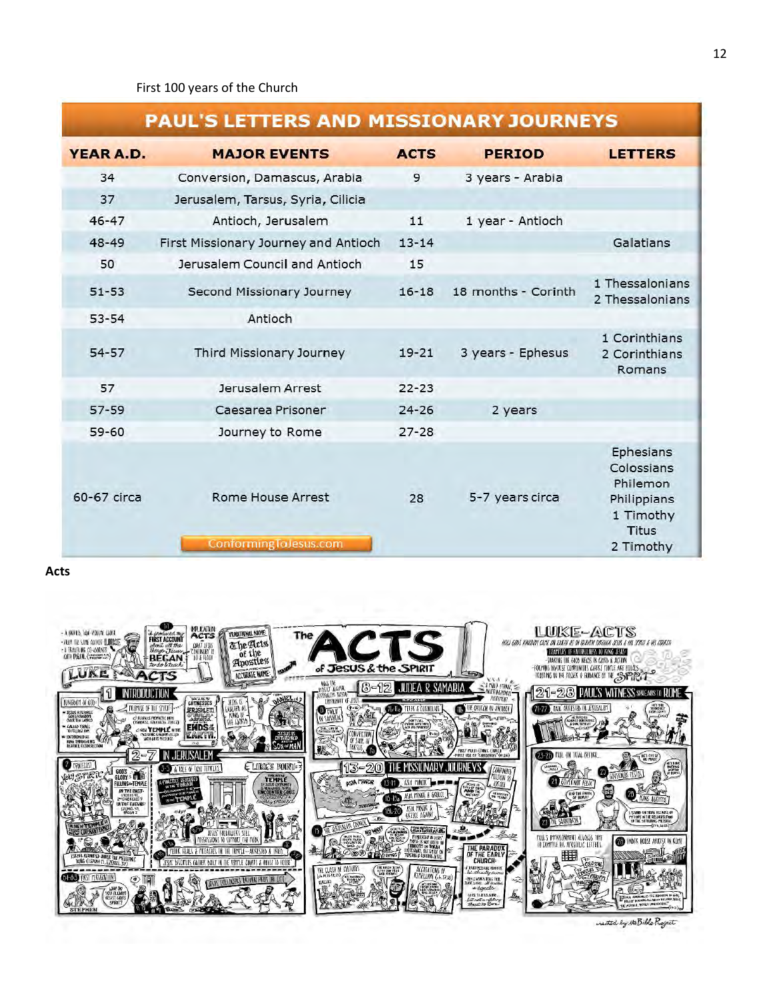# **PAUL'S LETTERS AND MISSIONARY JOURNEYS**

| <b>YEAR A.D.</b> | <b>MAJOR EVENTS</b>                               | <b>ACTS</b> | <b>PERIOD</b>       | <b>LETTERS</b>                                                                               |
|------------------|---------------------------------------------------|-------------|---------------------|----------------------------------------------------------------------------------------------|
| 34               | Conversion, Damascus, Arabia                      | 9           | 3 years - Arabia    |                                                                                              |
| 37               | Jerusalem, Tarsus, Syria, Cilicia                 |             |                     |                                                                                              |
| $46 - 47$        | Antioch, Jerusalem                                | 11          | 1 year - Antioch    |                                                                                              |
| 48-49            | First Missionary Journey and Antioch              | $13 - 14$   |                     | Galatians                                                                                    |
| 50               | Jerusalem Council and Antioch                     | 15          |                     |                                                                                              |
| $51 - 53$        | Second Missionary Journey                         | $16 - 18$   | 18 months - Corinth | 1 Thessalonians<br>2 Thessalonians                                                           |
| $53 - 54$        | Antioch                                           |             |                     |                                                                                              |
| $54 - 57$        | Third Missionary Journey                          | $19 - 21$   | 3 years - Ephesus   | 1 Corinthians<br>2 Corinthians<br>Romans                                                     |
| 57               | Jerusalem Arrest                                  | $22 - 23$   |                     |                                                                                              |
| $57 - 59$        | Caesarea Prisoner                                 | $24 - 26$   | 2 years             |                                                                                              |
| $59 - 60$        | Journey to Rome                                   | $27 - 28$   |                     |                                                                                              |
| 60-67 circa      | <b>Rome House Arrest</b><br>ConformingToJesus.com | 28          | 5-7 years circa     | Ephesians<br>Colossians<br>Philemon<br>Philippians<br>1 Timothy<br><b>Titus</b><br>2 Timothy |

**Acts**



reated by the Bible Project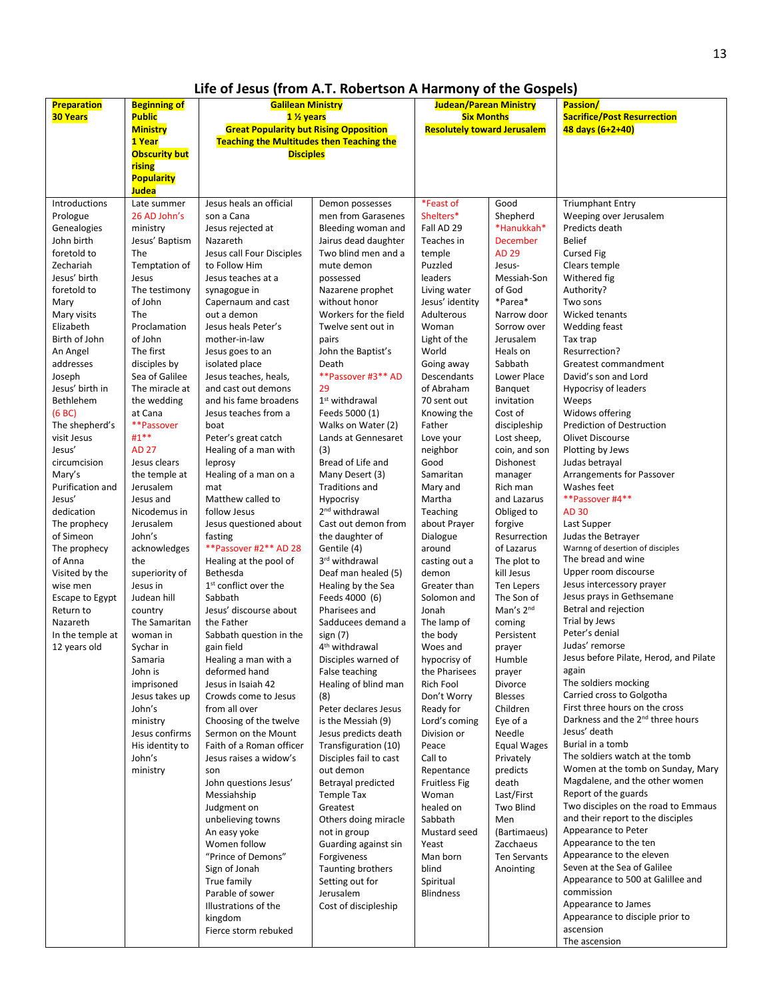## **Life of Jesus (from A.T. Robertson A Harmony of the Gospels)**

| <b>Preparation</b><br><b>30 Years</b>                                                                                                                                                                                                                                                                                                                                                                                                                                                                                                      | <b>Beginning of</b><br><b>Public</b><br><b>Ministry</b><br>1 Year<br><b>Obscurity but</b><br>rising<br><b>Popularity</b><br>Judea                                                                                                                                                                                                                                                                                                                                                                                                                                                                                                                           | <b>Galilean Ministry</b><br>1 % years<br><b>Great Popularity but Rising Opposition</b><br><b>Teaching the Multitudes then Teaching the</b><br><b>Disciples</b>                                                                                                                                                                                                                                                                                                                                                                                                                                                                                                                                                                                                                                                                                                                                                                                                                                                                                                                                                                                                                                  |                                                                                                                                                                                                                                                                                                                                                                                                                                                                                                                                                                                                                                                                                                                                                                                                                                                                                                                                                                                                                                                                                                                                                                              | Judean/Parean Ministry<br><b>Six Months</b><br><b>Resolutely toward Jerusalem</b>                                                                                                                                                                                                                                                                                                                                                                                                                                                                                                                                                                                                                                                                                           |                                                                                                                                                                                                                                                                                                                                                                                                                                                                                                                                                                                                                                                                                                                                                      | <b>Passion/</b><br><b>Sacrifice/Post Resurrection</b><br>48 days (6+2+40)                                                                                                                                                                                                                                                                                                                                                                                                                                                                                                                                                                                                                                                                                                                                                                                                                                                                                                                                                                                                                                                                                                                                                                                                                                                                                                                                                  |
|--------------------------------------------------------------------------------------------------------------------------------------------------------------------------------------------------------------------------------------------------------------------------------------------------------------------------------------------------------------------------------------------------------------------------------------------------------------------------------------------------------------------------------------------|-------------------------------------------------------------------------------------------------------------------------------------------------------------------------------------------------------------------------------------------------------------------------------------------------------------------------------------------------------------------------------------------------------------------------------------------------------------------------------------------------------------------------------------------------------------------------------------------------------------------------------------------------------------|-------------------------------------------------------------------------------------------------------------------------------------------------------------------------------------------------------------------------------------------------------------------------------------------------------------------------------------------------------------------------------------------------------------------------------------------------------------------------------------------------------------------------------------------------------------------------------------------------------------------------------------------------------------------------------------------------------------------------------------------------------------------------------------------------------------------------------------------------------------------------------------------------------------------------------------------------------------------------------------------------------------------------------------------------------------------------------------------------------------------------------------------------------------------------------------------------|------------------------------------------------------------------------------------------------------------------------------------------------------------------------------------------------------------------------------------------------------------------------------------------------------------------------------------------------------------------------------------------------------------------------------------------------------------------------------------------------------------------------------------------------------------------------------------------------------------------------------------------------------------------------------------------------------------------------------------------------------------------------------------------------------------------------------------------------------------------------------------------------------------------------------------------------------------------------------------------------------------------------------------------------------------------------------------------------------------------------------------------------------------------------------|-----------------------------------------------------------------------------------------------------------------------------------------------------------------------------------------------------------------------------------------------------------------------------------------------------------------------------------------------------------------------------------------------------------------------------------------------------------------------------------------------------------------------------------------------------------------------------------------------------------------------------------------------------------------------------------------------------------------------------------------------------------------------------|------------------------------------------------------------------------------------------------------------------------------------------------------------------------------------------------------------------------------------------------------------------------------------------------------------------------------------------------------------------------------------------------------------------------------------------------------------------------------------------------------------------------------------------------------------------------------------------------------------------------------------------------------------------------------------------------------------------------------------------------------|----------------------------------------------------------------------------------------------------------------------------------------------------------------------------------------------------------------------------------------------------------------------------------------------------------------------------------------------------------------------------------------------------------------------------------------------------------------------------------------------------------------------------------------------------------------------------------------------------------------------------------------------------------------------------------------------------------------------------------------------------------------------------------------------------------------------------------------------------------------------------------------------------------------------------------------------------------------------------------------------------------------------------------------------------------------------------------------------------------------------------------------------------------------------------------------------------------------------------------------------------------------------------------------------------------------------------------------------------------------------------------------------------------------------------|
| Introductions<br>Prologue<br>Genealogies<br>John birth<br>foretold to<br>Zechariah<br>Jesus' birth<br>foretold to<br>Mary<br>Mary visits<br>Elizabeth<br>Birth of John<br>An Angel<br>addresses<br>Joseph<br>Jesus' birth in<br>Bethlehem<br>(6 BC)<br>The shepherd's<br>visit Jesus<br>Jesus'<br>circumcision<br>Mary's<br>Purification and<br>Jesus'<br>dedication<br>The prophecy<br>of Simeon<br>The prophecy<br>of Anna<br>Visited by the<br>wise men<br>Escape to Egypt<br>Return to<br>Nazareth<br>In the temple at<br>12 years old | Late summer<br>26 AD John's<br>ministry<br>Jesus' Baptism<br>The<br>Temptation of<br>Jesus<br>The testimony<br>of John<br>The<br>Proclamation<br>of John<br>The first<br>disciples by<br>Sea of Galilee<br>The miracle at<br>the wedding<br>at Cana<br>**Passover<br>#1**<br><b>AD 27</b><br>Jesus clears<br>the temple at<br>Jerusalem<br>Jesus and<br>Nicodemus in<br>Jerusalem<br>John's<br>acknowledges<br>the<br>superiority of<br>Jesus in<br>Judean hill<br>country<br>The Samaritan<br>woman in<br>Sychar in<br>Samaria<br>John is<br>imprisoned<br>Jesus takes up<br>John's<br>ministry<br>Jesus confirms<br>His identity to<br>John's<br>ministry | Jesus heals an official<br>son a Cana<br>Jesus rejected at<br>Nazareth<br>Jesus call Four Disciples<br>to Follow Him<br>Jesus teaches at a<br>synagogue in<br>Capernaum and cast<br>out a demon<br>Jesus heals Peter's<br>mother-in-law<br>Jesus goes to an<br>isolated place<br>Jesus teaches, heals,<br>and cast out demons<br>and his fame broadens<br>Jesus teaches from a<br>boat<br>Peter's great catch<br>Healing of a man with<br>leprosy<br>Healing of a man on a<br>mat<br>Matthew called to<br>follow Jesus<br>Jesus questioned about<br>fasting<br>**Passover #2** AD 28<br>Healing at the pool of<br>Bethesda<br>1 <sup>st</sup> conflict over the<br>Sabbath<br>Jesus' discourse about<br>the Father<br>Sabbath question in the<br>gain field<br>Healing a man with a<br>deformed hand<br>Jesus in Isaiah 42<br>Crowds come to Jesus<br>from all over<br>Choosing of the twelve<br>Sermon on the Mount<br>Faith of a Roman officer<br>Jesus raises a widow's<br>son<br>John questions Jesus'<br>Messiahship<br>Judgment on<br>unbelieving towns<br>An easy yoke<br>Women follow<br>"Prince of Demons"<br>Sign of Jonah<br>True family<br>Parable of sower<br>Illustrations of the | Demon possesses<br>men from Garasenes<br>Bleeding woman and<br>Jairus dead daughter<br>Two blind men and a<br>mute demon<br>possessed<br>Nazarene prophet<br>without honor<br>Workers for the field<br>Twelve sent out in<br>pairs<br>John the Baptist's<br>Death<br>**Passover #3** AD<br>29<br>1 <sup>st</sup> withdrawal<br>Feeds 5000 (1)<br>Walks on Water (2)<br>Lands at Gennesaret<br>(3)<br>Bread of Life and<br>Many Desert (3)<br>Traditions and<br>Hypocrisy<br>2 <sup>nd</sup> withdrawal<br>Cast out demon from<br>the daughter of<br>Gentile (4)<br>3 <sup>rd</sup> withdrawal<br>Deaf man healed (5)<br>Healing by the Sea<br>Feeds 4000 (6)<br>Pharisees and<br>Sadducees demand a<br>sign(7)<br>4 <sup>th</sup> withdrawal<br>Disciples warned of<br>False teaching<br>Healing of blind man<br>(8)<br>Peter declares Jesus<br>is the Messiah (9)<br>Jesus predicts death<br>Transfiguration (10)<br>Disciples fail to cast<br>out demon<br>Betrayal predicted<br>Temple Tax<br>Greatest<br>Others doing miracle<br>not in group<br>Guarding against sin<br>Forgiveness<br><b>Taunting brothers</b><br>Setting out for<br>Jerusalem<br>Cost of discipleship | *Feast of<br>Shelters*<br>Fall AD 29<br>Teaches in<br>temple<br>Puzzled<br>leaders<br>Living water<br>Jesus' identity<br>Adulterous<br>Woman<br>Light of the<br>World<br>Going away<br>Descendants<br>of Abraham<br>70 sent out<br>Knowing the<br>Father<br>Love your<br>neighbor<br>Good<br>Samaritan<br>Mary and<br>Martha<br>Teaching<br>about Prayer<br>Dialogue<br>around<br>casting out a<br>demon<br>Greater than<br>Solomon and<br>Jonah<br>The lamp of<br>the body<br>Woes and<br>hypocrisy of<br>the Pharisees<br>Rich Fool<br>Don't Worry<br>Ready for<br>Lord's coming<br>Division or<br>Peace<br>Call to<br>Repentance<br><b>Fruitless Fig</b><br>Woman<br>healed on<br>Sabbath<br>Mustard seed<br>Yeast<br>Man born<br>blind<br>Spiritual<br><b>Blindness</b> | Good<br>Shepherd<br>*Hanukkah*<br>December<br>AD 29<br>Jesus-<br>Messiah-Son<br>of God<br>*Parea*<br>Narrow door<br>Sorrow over<br>Jerusalem<br>Heals on<br>Sabbath<br>Lower Place<br>Banquet<br>invitation<br>Cost of<br>discipleship<br>Lost sheep,<br>coin, and son<br>Dishonest<br>manager<br>Rich man<br>and Lazarus<br>Obliged to<br>forgive<br>Resurrection<br>of Lazarus<br>The plot to<br>kill Jesus<br><b>Ten Lepers</b><br>The Son of<br>Man's 2nd<br>coming<br>Persistent<br>prayer<br>Humble<br>prayer<br>Divorce<br><b>Blesses</b><br>Children<br>Eye of a<br>Needle<br><b>Equal Wages</b><br>Privately<br>predicts<br>death<br>Last/First<br><b>Two Blind</b><br>Men<br>(Bartimaeus)<br>Zacchaeus<br><b>Ten Servants</b><br>Anointing | <b>Triumphant Entry</b><br>Weeping over Jerusalem<br>Predicts death<br><b>Belief</b><br><b>Cursed Fig</b><br>Clears temple<br>Withered fig<br>Authority?<br>Two sons<br>Wicked tenants<br>Wedding feast<br>Tax trap<br>Resurrection?<br>Greatest commandment<br>David's son and Lord<br>Hypocrisy of leaders<br>Weeps<br>Widows offering<br><b>Prediction of Destruction</b><br><b>Olivet Discourse</b><br>Plotting by Jews<br>Judas betrayal<br>Arrangements for Passover<br>Washes feet<br>**Passover #4**<br><b>AD 30</b><br>Last Supper<br>Judas the Betrayer<br>Warnng of desertion of disciples<br>The bread and wine<br>Upper room discourse<br>Jesus intercessory prayer<br>Jesus prays in Gethsemane<br>Betral and rejection<br>Trial by Jews<br>Peter's denial<br>Judas' remorse<br>Jesus before Pilate, Herod, and Pilate<br>again<br>The soldiers mocking<br>Carried cross to Golgotha<br>First three hours on the cross<br>Darkness and the 2 <sup>nd</sup> three hours<br>Jesus' death<br>Burial in a tomb<br>The soldiers watch at the tomb<br>Women at the tomb on Sunday, Mary<br>Magdalene, and the other women<br>Report of the guards<br>Two disciples on the road to Emmaus<br>and their report to the disciples<br>Appearance to Peter<br>Appearance to the ten<br>Appearance to the eleven<br>Seven at the Sea of Galilee<br>Appearance to 500 at Galillee and<br>commission<br>Appearance to James |
|                                                                                                                                                                                                                                                                                                                                                                                                                                                                                                                                            |                                                                                                                                                                                                                                                                                                                                                                                                                                                                                                                                                                                                                                                             | kingdom<br>Fierce storm rebuked                                                                                                                                                                                                                                                                                                                                                                                                                                                                                                                                                                                                                                                                                                                                                                                                                                                                                                                                                                                                                                                                                                                                                                 |                                                                                                                                                                                                                                                                                                                                                                                                                                                                                                                                                                                                                                                                                                                                                                                                                                                                                                                                                                                                                                                                                                                                                                              |                                                                                                                                                                                                                                                                                                                                                                                                                                                                                                                                                                                                                                                                                                                                                                             |                                                                                                                                                                                                                                                                                                                                                                                                                                                                                                                                                                                                                                                                                                                                                      | Appearance to disciple prior to<br>ascension<br>The ascension                                                                                                                                                                                                                                                                                                                                                                                                                                                                                                                                                                                                                                                                                                                                                                                                                                                                                                                                                                                                                                                                                                                                                                                                                                                                                                                                                              |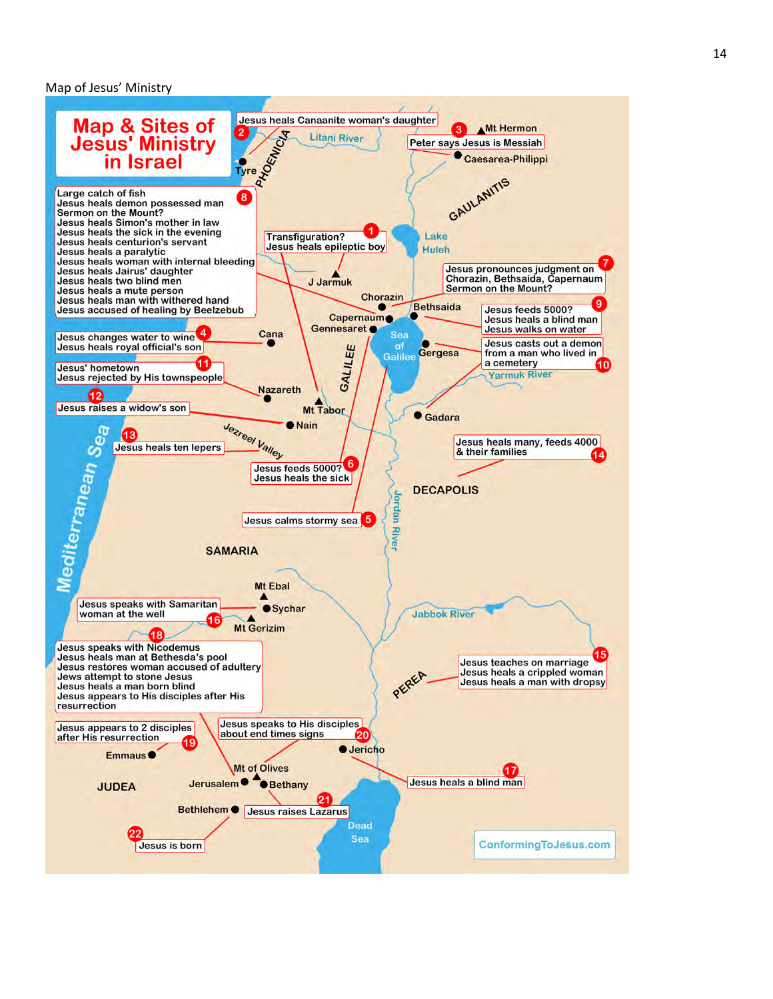#### Map of Jesus' Ministry